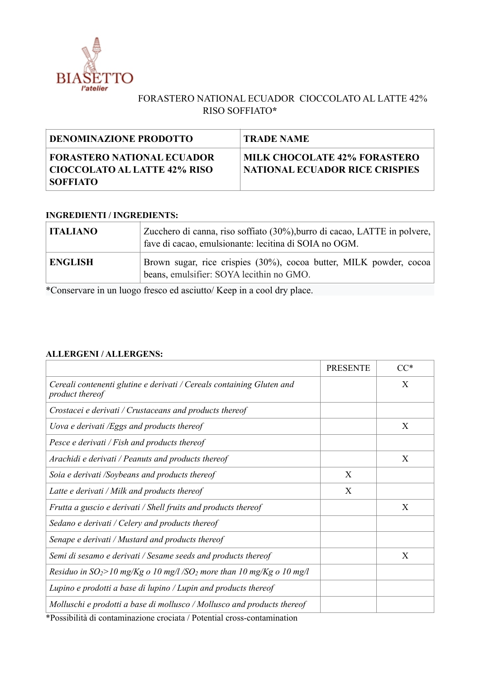

## FORASTERO NATIONAL ECUADOR CIOCCOLATO AL LATTE 42% RISO SOFFIATO**\***

| <b>DENOMINAZIONE PRODOTTO</b>                                       | <b>TRADE NAME</b>                                                     |
|---------------------------------------------------------------------|-----------------------------------------------------------------------|
| <b>FORASTERO NATIONAL ECUADOR</b><br>  CIOCCOLATO AL LATTE 42% RISO | <b>MILK CHOCOLATE 42% FORASTERO</b><br>NATIONAL ECUADOR RICE CRISPIES |
| <b>SOFFIATO</b>                                                     |                                                                       |

## **INGREDIENTI / INGREDIENTS:**

| <b>ITALIANO</b> | Zucchero di canna, riso soffiato (30%), burro di cacao, LATTE in polvere,<br>fave di cacao, emulsionante: lecitina di SOIA no OGM. |  |
|-----------------|------------------------------------------------------------------------------------------------------------------------------------|--|
| <b>ENGLISH</b>  | Brown sugar, rice crispies (30%), cocoa butter, MILK powder, cocoa<br>beans, emulsifier: SOYA lecithin no GMO.                     |  |

\*Conservare in un luogo fresco ed asciutto/ Keep in a cool dry place.

## **ALLERGENI / ALLERGENS:**

|                                                                                          | <b>PRESENTE</b> | $CC^*$ |
|------------------------------------------------------------------------------------------|-----------------|--------|
| Cereali contenenti glutine e derivati / Cereals containing Gluten and<br>product thereof |                 | X      |
| Crostacei e derivati / Crustaceans and products thereof                                  |                 |        |
| Uova e derivati /Eggs and products thereof                                               |                 | X      |
| Pesce e derivati / Fish and products thereof                                             |                 |        |
| Arachidi e derivati / Peanuts and products thereof                                       |                 | X      |
| Soia e derivati /Soybeans and products thereof                                           | X               |        |
| Latte e derivati / Milk and products thereof                                             | X               |        |
| Frutta a guscio e derivati / Shell fruits and products thereof                           |                 | X      |
| Sedano e derivati / Celery and products thereof                                          |                 |        |
| Senape e derivati / Mustard and products thereof                                         |                 |        |
| Semi di sesamo e derivati / Sesame seeds and products thereof                            |                 | X      |
| Residuo in $SO_2$ >10 mg/Kg o 10 mg/l /SO <sub>2</sub> more than 10 mg/Kg o 10 mg/l      |                 |        |
| Lupino e prodotti a base di lupino / Lupin and products thereof                          |                 |        |
| Molluschi e prodotti a base di mollusco / Mollusco and products thereof                  |                 |        |
|                                                                                          |                 |        |

\*Possibilità di contaminazione crociata / Potential cross-contamination